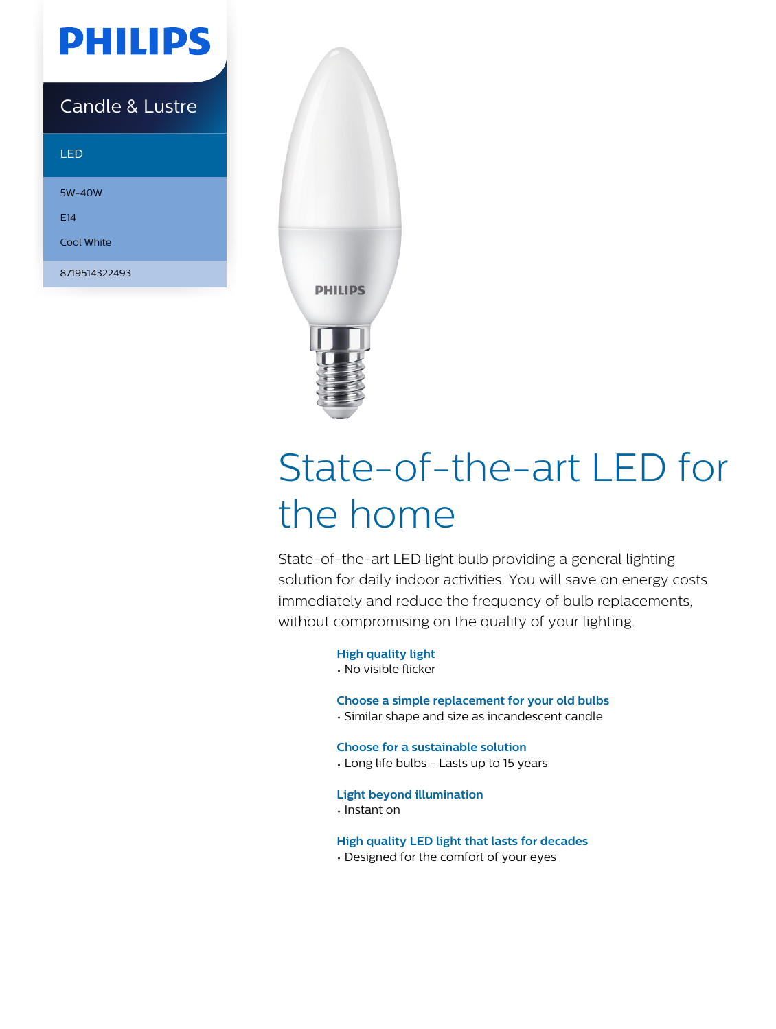

### Candle & Lustre

### LED

5W-40W E14 Cool White 8719514322493



# State-of-the-art LED for the home

State-of-the-art LED light bulb providing a general lighting solution for daily indoor activities. You will save on energy costs immediately and reduce the frequency of bulb replacements, without compromising on the quality of your lighting.

### **High quality light**

• No visible flicker

### **Choose a simple replacement for your old bulbs**

• Similar shape and size as incandescent candle

### **Choose for a sustainable solution**

• Long life bulbs - Lasts up to 15 years

### **Light beyond illumination**

• Instant on

### **High quality LED light that lasts for decades**

• Designed for the comfort of your eyes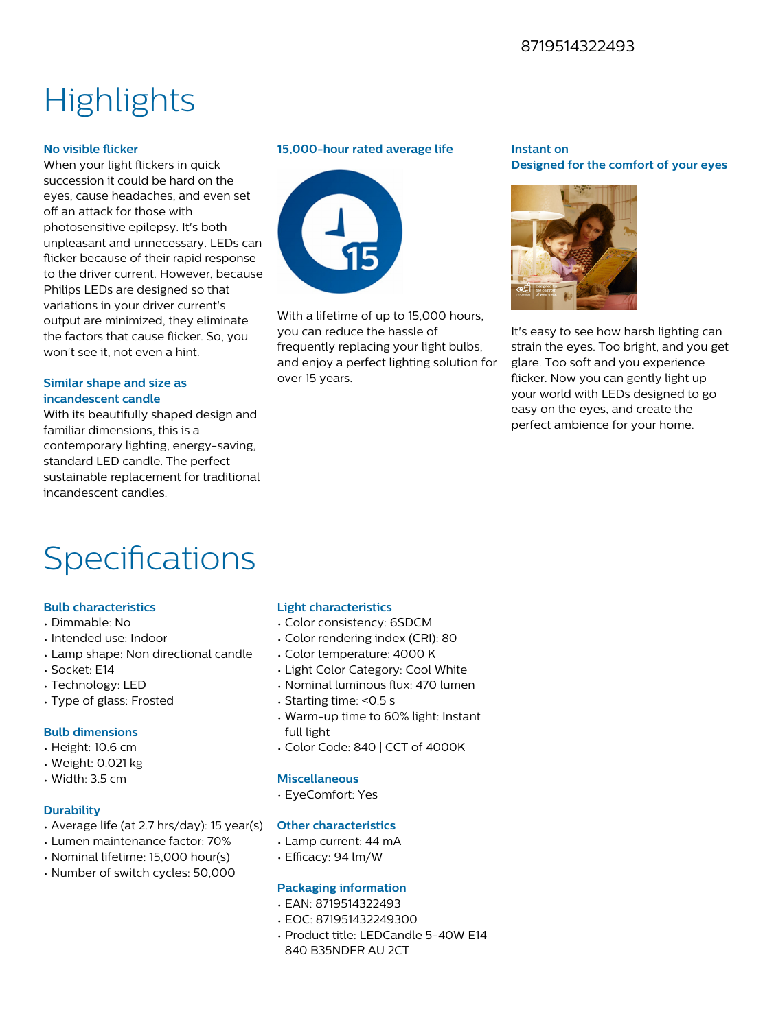### 8719514322493

## **Highlights**

### **No visible flicker**

When your light flickers in quick succession it could be hard on the eyes, cause headaches, and even set off an attack for those with photosensitive epilepsy. It's both unpleasant and unnecessary. LEDs can flicker because of their rapid response to the driver current. However, because Philips LEDs are designed so that variations in your driver current's output are minimized, they eliminate the factors that cause flicker. So, you won't see it, not even a hint.

### **Similar shape and size as incandescent candle**

With its beautifully shaped design and familiar dimensions, this is a contemporary lighting, energy-saving, standard LED candle. The perfect sustainable replacement for traditional incandescent candles.

### **15,000-hour rated average life**



With a lifetime of up to 15,000 hours. you can reduce the hassle of frequently replacing your light bulbs, and enjoy a perfect lighting solution for over 15 years.

### **Instant on Designed for the comfort of your eyes**



It's easy to see how harsh lighting can strain the eyes. Too bright, and you get glare. Too soft and you experience flicker. Now you can gently light up your world with LEDs designed to go easy on the eyes, and create the perfect ambience for your home.

## Specifications

### **Bulb characteristics**

- Dimmable: No
- Intended use: Indoor
- Lamp shape: Non directional candle
- Socket: E14
- Technology: LED
- Type of glass: Frosted

### **Bulb dimensions**

- Height: 10.6 cm
- Weight: 0.021 kg
- Width: 3.5 cm

### **Durability**

- Average life (at 2.7 hrs/day): 15 year(s)
- Lumen maintenance factor: 70%
- Nominal lifetime: 15,000 hour(s)
- Number of switch cycles: 50,000

### **Light characteristics**

- Color consistency: 6SDCM
- Color rendering index (CRI): 80
- Color temperature: 4000 K
- Light Color Category: Cool White
- Nominal luminous flux: 470 lumen
- Starting time: <0.5 s
- Warm-up time to 60% light: Instant full light
- Color Code: 840 | CCT of 4000K

### **Miscellaneous**

• EyeComfort: Yes

### **Other characteristics**

- Lamp current: 44 mA
- $\cdot$  Efficacy: 94 lm/W

### **Packaging information**

- EAN: 8719514322493
- EOC: 871951432249300
- Product title: LEDCandle 5-40W E14
- 840 B35NDFR AU 2CT